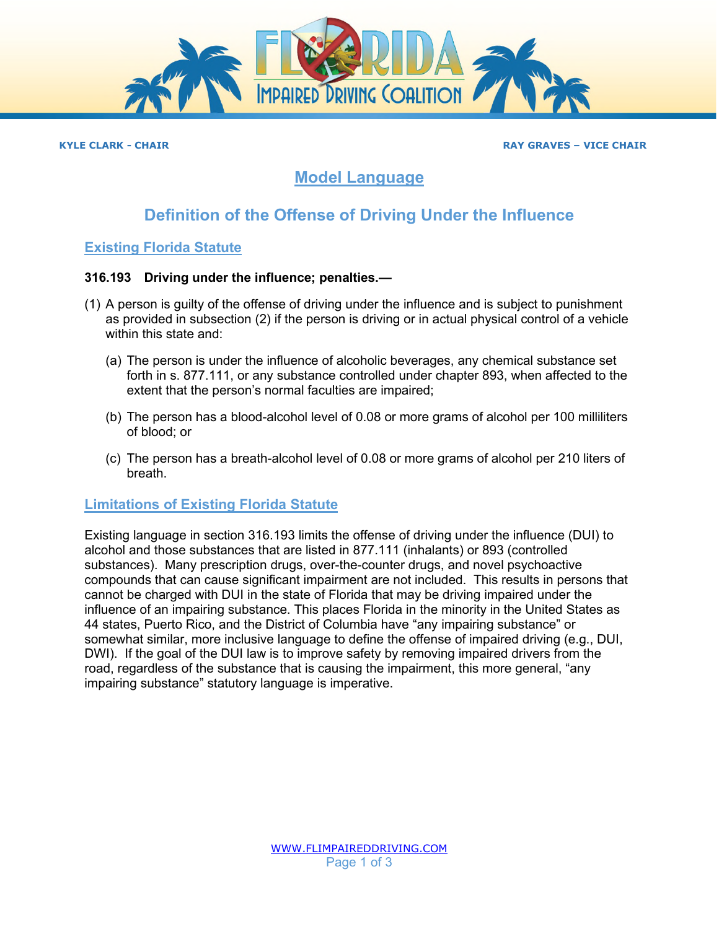

#### **KYLE CLARK - CHAIR RAY GRAVES – VICE CHAIR**

## **Model Language**

# **Definition of the Offense of Driving Under the Influence**

### **Existing Florida Statute**

#### **316.193 Driving under the influence; penalties.—**

- (1) A person is guilty of the offense of driving under the influence and is subject to punishment as provided in subsection (2) if the person is driving or in actual physical control of a vehicle within this state and:
	- (a) The person is under the influence of alcoholic beverages, any chemical substance set forth in s. [877.111,](http://www.flsenate.gov/Laws/Statutes/2018/877.111) or any substance controlled under chapter 893, when affected to the extent that the person's normal faculties are impaired;
	- (b) The person has a blood-alcohol level of 0.08 or more grams of alcohol per 100 milliliters of blood; or
	- (c) The person has a breath-alcohol level of 0.08 or more grams of alcohol per 210 liters of breath.

#### **Limitations of Existing Florida Statute**

Existing language in section 316.193 limits the offense of driving under the influence (DUI) to alcohol and those substances that are listed in 877.111 (inhalants) or 893 (controlled substances). Many prescription drugs, over-the-counter drugs, and novel psychoactive compounds that can cause significant impairment are not included. This results in persons that cannot be charged with DUI in the state of Florida that may be driving impaired under the influence of an impairing substance. This places Florida in the minority in the United States as 44 states, Puerto Rico, and the District of Columbia have "any impairing substance" or somewhat similar, more inclusive language to define the offense of impaired driving (e.g., DUI, DWI). If the goal of the DUI law is to improve safety by removing impaired drivers from the road, regardless of the substance that is causing the impairment, this more general, "any impairing substance" statutory language is imperative.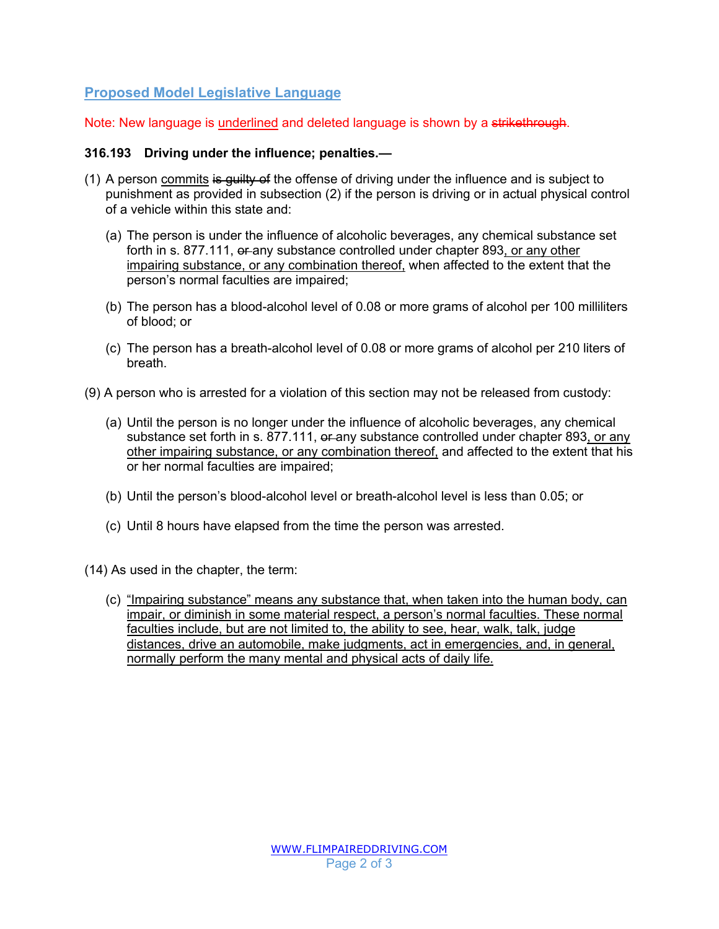## **Proposed Model Legislative Language**

Note: New language is underlined and deleted language is shown by a strikethrough.

#### **316.193 Driving under the influence; penalties.—**

- (1) A person commits is guilty of the offense of driving under the influence and is subject to punishment as provided in subsection (2) if the person is driving or in actual physical control of a vehicle within this state and:
	- (a) The person is under the influence of alcoholic beverages, any chemical substance set forth in s. [877.111,](http://www.flsenate.gov/Laws/Statutes/2018/877.111) or any substance controlled under chapter 893, or any other impairing substance, or any combination thereof, when affected to the extent that the person's normal faculties are impaired;
	- (b) The person has a blood-alcohol level of 0.08 or more grams of alcohol per 100 milliliters of blood; or
	- (c) The person has a breath-alcohol level of 0.08 or more grams of alcohol per 210 liters of breath.
- (9) A person who is arrested for a violation of this section may not be released from custody:
	- (a) Until the person is no longer under the influence of alcoholic beverages, any chemical substance set forth in s. 877.111, or any substance controlled under chapter 893, or any other impairing substance, or any combination thereof, and affected to the extent that his or her normal faculties are impaired;
	- (b) Until the person's blood-alcohol level or breath-alcohol level is less than 0.05; or
	- (c) Until 8 hours have elapsed from the time the person was arrested.

(14) As used in the chapter, the term:

(c) "Impairing substance" means any substance that, when taken into the human body, can impair, or diminish in some material respect, a person's normal faculties. These normal faculties include, but are not limited to, the ability to see, hear, walk, talk, judge distances, drive an automobile, make judgments, act in emergencies, and, in general, normally perform the many mental and physical acts of daily life.